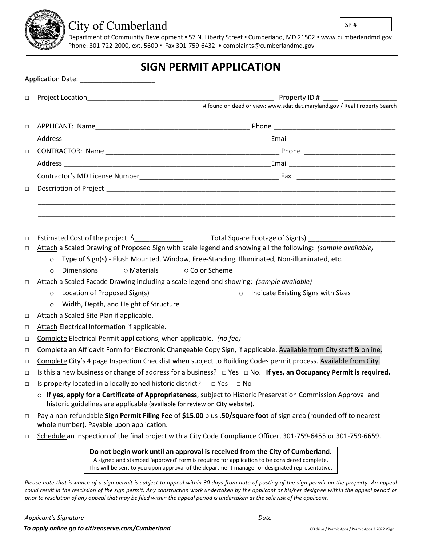

## City of Cumberland

Department of Community Development ▪ 57 N. Liberty Street ▪ Cumberland, MD 21502 ▪ www.cumberlandmd.gov Phone: 301-722-2000, ext. 5600 ▪ Fax 301-759-6432 • [complaints@cumberlandmd.gov](mailto:complaints@cumberlandmd.gov)

## **SIGN PERMIT APPLICATION**

| $\Box$ | Property ID # _____ - _______________                                                                                                                                                                                                                                         |  |  |  |
|--------|-------------------------------------------------------------------------------------------------------------------------------------------------------------------------------------------------------------------------------------------------------------------------------|--|--|--|
|        | # found on deed or view: www.sdat.dat.maryland.gov / Real Property Search                                                                                                                                                                                                     |  |  |  |
| $\Box$ |                                                                                                                                                                                                                                                                               |  |  |  |
|        |                                                                                                                                                                                                                                                                               |  |  |  |
|        |                                                                                                                                                                                                                                                                               |  |  |  |
| $\Box$ |                                                                                                                                                                                                                                                                               |  |  |  |
|        |                                                                                                                                                                                                                                                                               |  |  |  |
|        |                                                                                                                                                                                                                                                                               |  |  |  |
| $\Box$ |                                                                                                                                                                                                                                                                               |  |  |  |
|        |                                                                                                                                                                                                                                                                               |  |  |  |
|        |                                                                                                                                                                                                                                                                               |  |  |  |
|        |                                                                                                                                                                                                                                                                               |  |  |  |
| $\Box$ |                                                                                                                                                                                                                                                                               |  |  |  |
| $\Box$ | Attach a Scaled Drawing of Proposed Sign with scale legend and showing all the following: (sample available)                                                                                                                                                                  |  |  |  |
|        | Type of Sign(s) - Flush Mounted, Window, Free-Standing, Illuminated, Non-illuminated, etc.<br>$\circ$                                                                                                                                                                         |  |  |  |
|        | o Materials<br>o Color Scheme<br><b>Dimensions</b><br>$\circ$                                                                                                                                                                                                                 |  |  |  |
| $\Box$ | Attach a Scaled Facade Drawing including a scale legend and showing: (sample available)                                                                                                                                                                                       |  |  |  |
|        | Location of Proposed Sign(s)<br>o Indicate Existing Signs with Sizes<br>$\circ$                                                                                                                                                                                               |  |  |  |
|        | Width, Depth, and Height of Structure<br>$\circ$                                                                                                                                                                                                                              |  |  |  |
| $\Box$ | Attach a Scaled Site Plan if applicable.                                                                                                                                                                                                                                      |  |  |  |
| $\Box$ | Attach Electrical Information if applicable.                                                                                                                                                                                                                                  |  |  |  |
| $\Box$ | Complete Electrical Permit applications, when applicable. (no fee)                                                                                                                                                                                                            |  |  |  |
| $\Box$ | Complete an Affidavit Form for Electronic Changeable Copy Sign, if applicable. Available from City staff & online.                                                                                                                                                            |  |  |  |
| $\Box$ | Complete City's 4 page Inspection Checklist when subject to Building Codes permit process. Available from City.                                                                                                                                                               |  |  |  |
| $\Box$ | Is this a new business or change of address for a business? $\Box$ Yes $\Box$ No. If yes, an Occupancy Permit is required.                                                                                                                                                    |  |  |  |
| $\Box$ | Is property located in a locally zoned historic district? $\Box$ Yes $\Box$ No                                                                                                                                                                                                |  |  |  |
|        | o If yes, apply for a Certificate of Appropriateness, subject to Historic Preservation Commission Approval and<br>historic guidelines are applicable (available for review on City website).                                                                                  |  |  |  |
| $\Box$ | Pay a non-refundable Sign Permit Filing Fee of \$15.00 plus .50/square foot of sign area (rounded off to nearest<br>whole number). Payable upon application.                                                                                                                  |  |  |  |
| $\Box$ | Schedule an inspection of the final project with a City Code Compliance Officer, 301-759-6455 or 301-759-6659.                                                                                                                                                                |  |  |  |
|        | Do not begin work until an approval is received from the City of Cumberland.<br>A signed and stamped 'approved' form is required for application to be considered complete.<br>This will be sent to you upon approval of the department manager or designated representative. |  |  |  |
|        | Please note that issuance of a sign permit is subject to appeal within 30 days from date of posting of the sign permit on the property. An appeal                                                                                                                             |  |  |  |

*Please note that issuance of a sign permit is subject to appeal within 30 days from date of posting of the sign permit on the property. An appeal could result in the rescission of the sign permit. Any construction work undertaken by the applicant or his/her designee within the appeal period or prior to resolution of any appeal that may be filed within the appeal period is undertaken at the sole risk of the applicant.*

*Applicant's Signature\_\_\_\_\_\_\_\_\_\_\_\_\_\_\_\_\_\_\_\_\_\_\_\_\_\_\_\_\_\_\_\_\_\_\_\_\_\_\_\_\_\_\_\_\_\_\_\_\_ Date\_\_\_\_\_\_\_\_\_\_\_\_\_\_\_*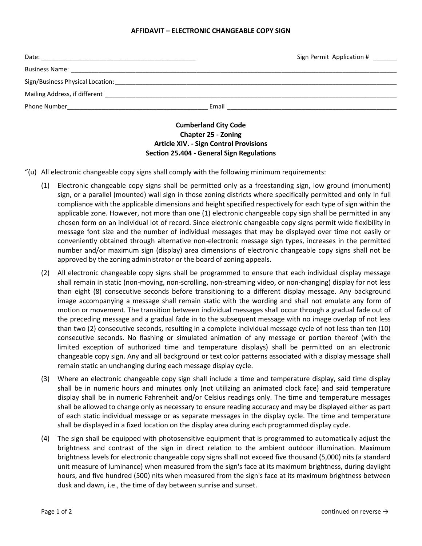## **AFFIDAVIT – ELECTRONIC CHANGEABLE COPY SIGN**

| Date:<br><u> 1980 - John Stone, Amerikaansk politiker (* 1980)</u> |       | Sign Permit Application # |
|--------------------------------------------------------------------|-------|---------------------------|
|                                                                    |       |                           |
| Sign/Business Physical Location:                                   |       |                           |
| Mailing Address, if different ________________________             |       |                           |
|                                                                    | Email |                           |
|                                                                    |       |                           |

## **Cumberland City Code Chapter 25 - Zoning Article XIV. - Sign Control Provisions Section 25.404 - General Sign Regulations**

"(u) All electronic changeable copy signs shall comply with the following minimum requirements:

- (1) Electronic changeable copy signs shall be permitted only as a freestanding sign, low ground (monument) sign, or a parallel (mounted) wall sign in those zoning districts where specifically permitted and only in full compliance with the applicable dimensions and height specified respectively for each type of sign within the applicable zone. However, not more than one (1) electronic changeable copy sign shall be permitted in any chosen form on an individual lot of record. Since electronic changeable copy signs permit wide flexibility in message font size and the number of individual messages that may be displayed over time not easily or conveniently obtained through alternative non-electronic message sign types, increases in the permitted number and/or maximum sign (display) area dimensions of electronic changeable copy signs shall not be approved by the zoning administrator or the board of zoning appeals.
- (2) All electronic changeable copy signs shall be programmed to ensure that each individual display message shall remain in static (non-moving, non-scrolling, non-streaming video, or non-changing) display for not less than eight (8) consecutive seconds before transitioning to a different display message. Any background image accompanying a message shall remain static with the wording and shall not emulate any form of motion or movement. The transition between individual messages shall occur through a gradual fade out of the preceding message and a gradual fade in to the subsequent message with no image overlap of not less than two (2) consecutive seconds, resulting in a complete individual message cycle of not less than ten (10) consecutive seconds. No flashing or simulated animation of any message or portion thereof (with the limited exception of authorized time and temperature displays) shall be permitted on an electronic changeable copy sign. Any and all background or text color patterns associated with a display message shall remain static an unchanging during each message display cycle.
- (3) Where an electronic changeable copy sign shall include a time and temperature display, said time display shall be in numeric hours and minutes only (not utilizing an animated clock face) and said temperature display shall be in numeric Fahrenheit and/or Celsius readings only. The time and temperature messages shall be allowed to change only as necessary to ensure reading accuracy and may be displayed either as part of each static individual message or as separate messages in the display cycle. The time and temperature shall be displayed in a fixed location on the display area during each programmed display cycle.
- (4) The sign shall be equipped with photosensitive equipment that is programmed to automatically adjust the brightness and contrast of the sign in direct relation to the ambient outdoor illumination. Maximum brightness levels for electronic changeable copy signs shall not exceed five thousand (5,000) nits (a standard unit measure of luminance) when measured from the sign's face at its maximum brightness, during daylight hours, and five hundred (500) nits when measured from the sign's face at its maximum brightness between dusk and dawn, i.e., the time of day between sunrise and sunset.